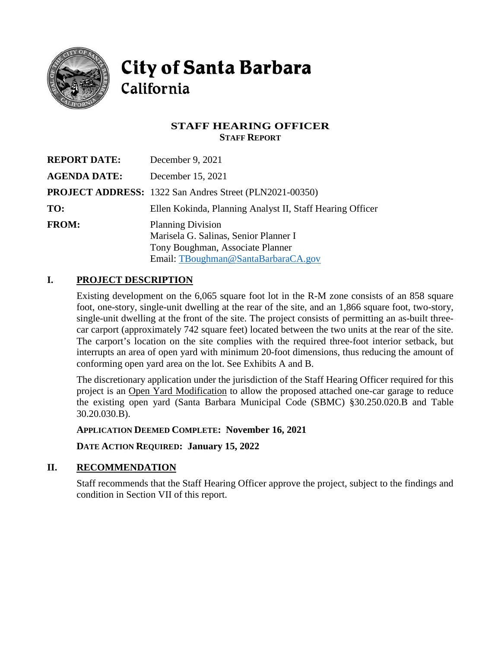

**City of Santa Barbara** California

## **STAFF HEARING OFFICER STAFF REPORT**

| <b>REPORT DATE:</b> | December 9, 2021                                                                                                                             |
|---------------------|----------------------------------------------------------------------------------------------------------------------------------------------|
| <b>AGENDA DATE:</b> | December 15, 2021                                                                                                                            |
|                     | <b>PROJECT ADDRESS:</b> 1322 San Andres Street (PLN2021-00350)                                                                               |
| TO:                 | Ellen Kokinda, Planning Analyst II, Staff Hearing Officer                                                                                    |
| <b>FROM:</b>        | <b>Planning Division</b><br>Marisela G. Salinas, Senior Planner I<br>Tony Boughman, Associate Planner<br>Email: TBoughman@SantaBarbaraCA.gov |

# **I. PROJECT DESCRIPTION**

Existing development on the 6,065 square foot lot in the R-M zone consists of an 858 square foot, one-story, single-unit dwelling at the rear of the site, and an 1,866 square foot, two-story, single-unit dwelling at the front of the site. The project consists of permitting an as-built threecar carport (approximately 742 square feet) located between the two units at the rear of the site. The carport's location on the site complies with the required three-foot interior setback, but interrupts an area of open yard with minimum 20-foot dimensions, thus reducing the amount of conforming open yard area on the lot. See Exhibits A and B.

The discretionary application under the jurisdiction of the Staff Hearing Officer required for this project is an Open Yard Modification to allow the proposed attached one-car garage to reduce the existing open yard (Santa Barbara Municipal Code (SBMC) §30.250.020.B and Table 30.20.030.B).

**APPLICATION DEEMED COMPLETE: November 16, 2021**

**DATE ACTION REQUIRED: January 15, 2022**

## **II. RECOMMENDATION**

Staff recommends that the Staff Hearing Officer approve the project, subject to the findings and condition in Section VII of this report.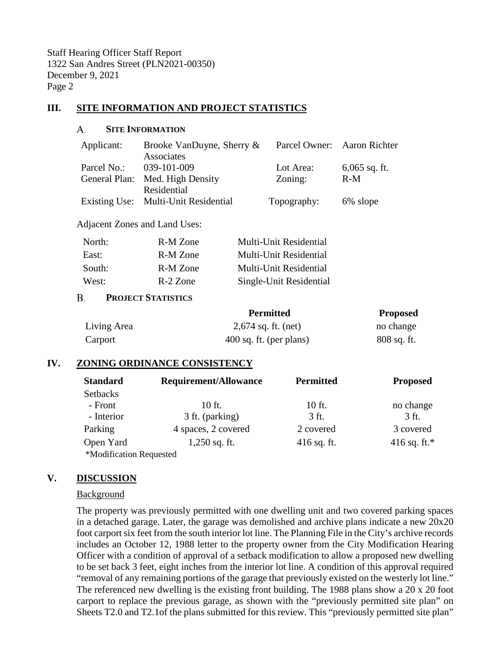### **III. SITE INFORMATION AND PROJECT STATISTICS**

#### А. **SITE INFORMATION**

| Applicant:    | Brooke VanDuyne, Sherry &            |             | Parcel Owner: Aaron Richter |
|---------------|--------------------------------------|-------------|-----------------------------|
|               | Associates                           |             |                             |
| Parcel No.:   | 039-101-009                          | Lot Area:   | $6,065$ sq. ft.             |
| General Plan: | Med. High Density                    | Zoning:     | $R-M$                       |
|               | Residential                          |             |                             |
|               | Existing Use: Multi-Unit Residential | Topography: | 6% slope                    |

Adjacent Zones and Land Uses:

| R-M Zone | Multi-Unit Residential  |
|----------|-------------------------|
| R-M Zone | Multi-Unit Residential  |
| R-M Zone | Multi-Unit Residential  |
| R-2 Zone | Single-Unit Residential |
|          |                         |

#### **B. PROJECT STATISTICS**

|             | <b>Permitted</b>        | <b>Proposed</b> |
|-------------|-------------------------|-----------------|
| Living Area | 2,674 sq. ft. (net)     | no change       |
| Carport     | 400 sq. ft. (per plans) | $808$ sq. ft.   |

#### **IV. ZONING ORDINANCE CONSISTENCY**

| <b>Standard</b>         | Requirement/Allowance | <b>Permitted</b> | <b>Proposed</b> |
|-------------------------|-----------------------|------------------|-----------------|
| <b>Setbacks</b>         |                       |                  |                 |
| - Front                 | 10 ft.                | $10$ ft.         | no change       |
| - Interior              | 3 ft. (parking)       | 3 ft.            | 3 ft.           |
| Parking                 | 4 spaces, 2 covered   | 2 covered        | 3 covered       |
| Open Yard               | $1,250$ sq. ft.       | $416$ sq. ft.    | 416 sq. ft.*    |
| *Modification Requested |                       |                  |                 |

### **V. DISCUSSION**

#### **Background**

The property was previously permitted with one dwelling unit and two covered parking spaces in a detached garage. Later, the garage was demolished and archive plans indicate a new 20x20 foot carport six feet from the south interior lot line. The Planning File in the City's archive records includes an October 12, 1988 letter to the property owner from the City Modification Hearing Officer with a condition of approval of a setback modification to allow a proposed new dwelling to be set back 3 feet, eight inches from the interior lot line. A condition of this approval required "removal of any remaining portions of the garage that previously existed on the westerly lot line." The referenced new dwelling is the existing front building. The 1988 plans show a 20 x 20 foot carport to replace the previous garage, as shown with the "previously permitted site plan" on Sheets T2.0 and T2.1of the plans submitted for this review. This "previously permitted site plan"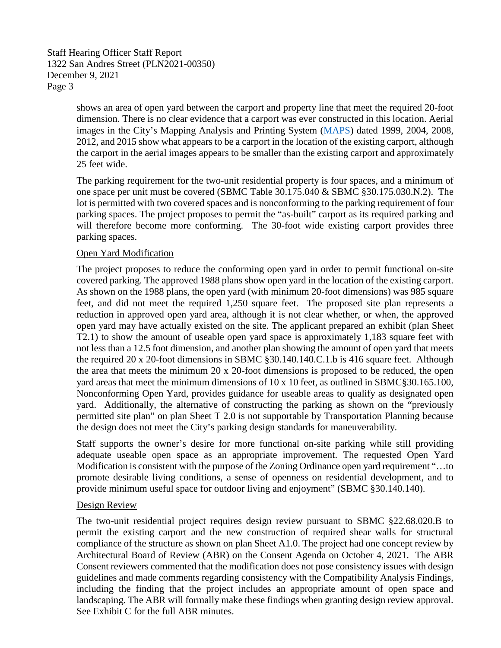> shows an area of open yard between the carport and property line that meet the required 20-foot dimension. There is no clear evidence that a carport was ever constructed in this location. Aerial images in the City's Mapping Analysis and Printing System [\(MAPS\)](https://www.santabarbaraca.gov/services/maps/default.asp) dated 1999, 2004, 2008, 2012, and 2015 show what appears to be a carport in the location of the existing carport, although the carport in the aerial images appears to be smaller than the existing carport and approximately 25 feet wide.

> The parking requirement for the two-unit residential property is four spaces, and a minimum of one space per unit must be covered (SBMC Table 30.175.040 & SBMC §30.175.030.N.2). The lot is permitted with two covered spaces and is nonconforming to the parking requirement of four parking spaces. The project proposes to permit the "as-built" carport as its required parking and will therefore become more conforming. The 30-foot wide existing carport provides three parking spaces.

### Open Yard Modification

The project proposes to reduce the conforming open yard in order to permit functional on-site covered parking. The approved 1988 plans show open yard in the location of the existing carport. As shown on the 1988 plans, the open yard (with minimum 20-foot dimensions) was 985 square feet, and did not meet the required 1,250 square feet. The proposed site plan represents a reduction in approved open yard area, although it is not clear whether, or when, the approved open yard may have actually existed on the site. The applicant prepared an exhibit (plan Sheet T2.1) to show the amount of useable open yard space is approximately 1,183 square feet with not less than a 12.5 foot dimension, and another plan showing the amount of open yard that meets the required 20 x 20-foot dimensions in [SBMC](http://qcode.us/codes/santabarbara/) §30.140.140.C.1.b is 416 square feet. Although the area that meets the minimum 20 x 20-foot dimensions is proposed to be reduced, the open yard areas that meet the minimum dimensions of 10 x 10 feet, as outlined in SBMC§30.165.100, Nonconforming Open Yard, provides guidance for useable areas to qualify as designated open yard. Additionally, the alternative of constructing the parking as shown on the "previously permitted site plan" on plan Sheet T 2.0 is not supportable by Transportation Planning because the design does not meet the City's parking design standards for maneuverability.

Staff supports the owner's desire for more functional on-site parking while still providing adequate useable open space as an appropriate improvement. The requested Open Yard Modification is consistent with the purpose of the Zoning Ordinance open yard requirement "…to promote desirable living conditions, a sense of openness on residential development, and to provide minimum useful space for outdoor living and enjoyment" (SBMC §30.140.140).

#### Design Review

The two-unit residential project requires design review pursuant to SBMC §22.68.020.B to permit the existing carport and the new construction of required shear walls for structural compliance of the structure as shown on plan Sheet A1.0. The project had one concept review by Architectural Board of Review (ABR) on the Consent Agenda on October 4, 2021. The ABR Consent reviewers commented that the modification does not pose consistency issues with design guidelines and made comments regarding consistency with the Compatibility Analysis Findings, including the finding that the project includes an appropriate amount of open space and landscaping. The ABR will formally make these findings when granting design review approval. See Exhibit C for the full ABR minutes.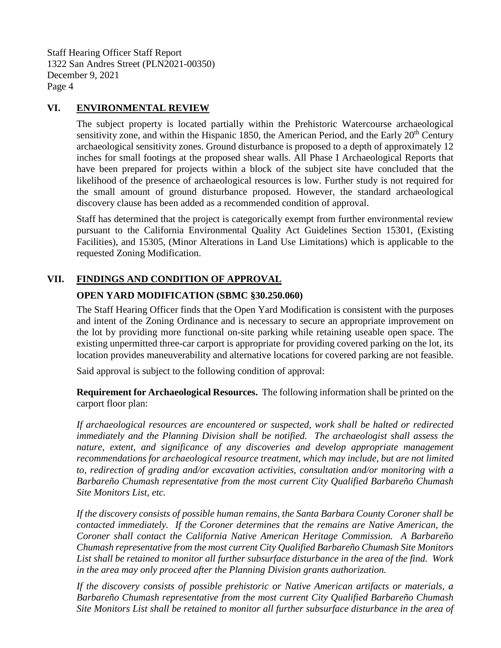## **VI. ENVIRONMENTAL REVIEW**

The subject property is located partially within the Prehistoric Watercourse archaeological sensitivity zone, and within the Hispanic 1850, the American Period, and the Early  $20<sup>th</sup>$  Century archaeological sensitivity zones. Ground disturbance is proposed to a depth of approximately 12 inches for small footings at the proposed shear walls. All Phase I Archaeological Reports that have been prepared for projects within a block of the subject site have concluded that the likelihood of the presence of archaeological resources is low. Further study is not required for the small amount of ground disturbance proposed. However, the standard archaeological discovery clause has been added as a recommended condition of approval.

Staff has determined that the project is categorically exempt from further environmental review pursuant to the California Environmental Quality Act Guidelines Section 15301, (Existing Facilities), and 15305, (Minor Alterations in Land Use Limitations) which is applicable to the requested Zoning Modification.

# **VII. FINDINGS AND CONDITION OF APPROVAL**

## **OPEN YARD MODIFICATION (SBMC §30.250.060)**

The Staff Hearing Officer finds that the Open Yard Modification is consistent with the purposes and intent of the Zoning Ordinance and is necessary to secure an appropriate improvement on the lot by providing more functional on-site parking while retaining useable open space. The existing unpermitted three-car carport is appropriate for providing covered parking on the lot, its location provides maneuverability and alternative locations for covered parking are not feasible.

Said approval is subject to the following condition of approval:

**Requirement for Archaeological Resources.** The following information shall be printed on the carport floor plan:

*If archaeological resources are encountered or suspected, work shall be halted or redirected immediately and the Planning Division shall be notified. The archaeologist shall assess the nature, extent, and significance of any discoveries and develop appropriate management recommendations for archaeological resource treatment, which may include, but are not limited to, redirection of grading and/or excavation activities, consultation and/or monitoring with a Barbareño Chumash representative from the most current City Qualified Barbareño Chumash Site Monitors List, etc.*

*If the discovery consists of possible human remains, the Santa Barbara County Coroner shall be contacted immediately. If the Coroner determines that the remains are Native American, the Coroner shall contact the California Native American Heritage Commission. A Barbareño Chumash representative from the most current City Qualified Barbareño Chumash Site Monitors List shall be retained to monitor all further subsurface disturbance in the area of the find. Work in the area may only proceed after the Planning Division grants authorization.*

*If the discovery consists of possible prehistoric or Native American artifacts or materials, a Barbareño Chumash representative from the most current City Qualified Barbareño Chumash Site Monitors List shall be retained to monitor all further subsurface disturbance in the area of*